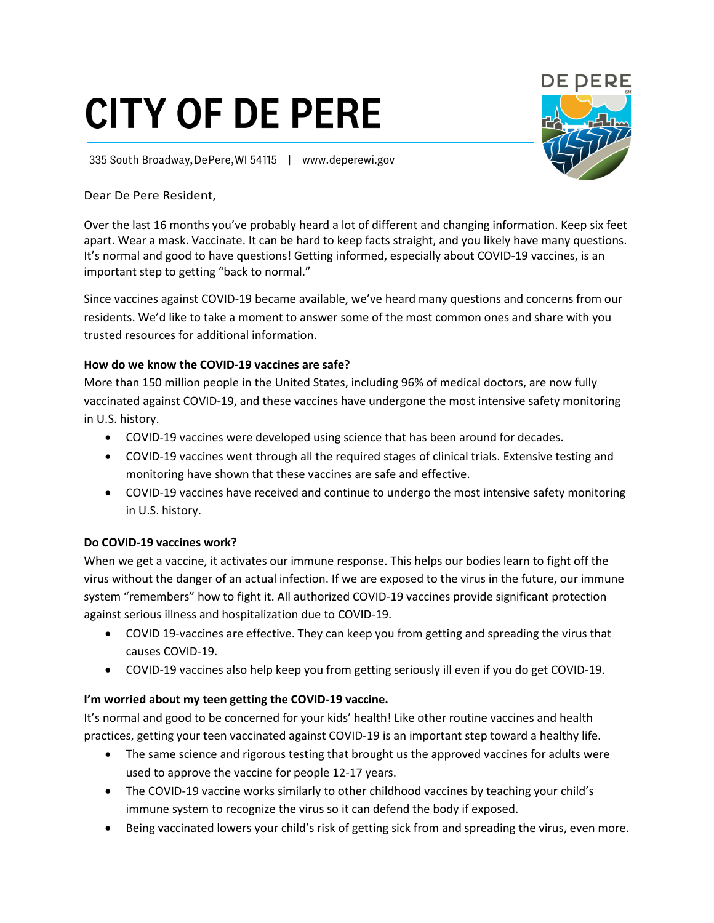# **CITY OF DE PERE**

335 South Broadway, De Pere, WI 54115 | www.deperewi.gov

## Dear De Pere Resident,

Over the last 16 months you've probably heard a lot of different and changing information. Keep six feet apart. Wear a mask. Vaccinate. It can be hard to keep facts straight, and you likely have many questions. It's normal and good to have questions! Getting informed, especially about COVID-19 vaccines, is an important step to getting "back to normal."

Since vaccines against COVID-19 became available, we've heard many questions and concerns from our residents. We'd like to take a moment to answer some of the most common ones and share with you trusted resources for additional information.

## **How do we know the COVID-19 vaccines are safe?**

More than 150 million people in the United States, including 96% of medical doctors, are now fully vaccinated against COVID-19, and these vaccines have undergone the most intensive safety monitoring in U.S. history.

- COVID-19 vaccines were developed using science that has been around for decades.
- COVID-19 vaccines went through all the required stages of clinical trials. Extensive testing and monitoring have shown that these vaccines are safe and effective.
- COVID-19 vaccines have received and continue to undergo the most intensive safety monitoring in U.S. history.

## **Do COVID-19 vaccines work?**

When we get a vaccine, it activates our immune response. This helps our bodies learn to fight off the virus without the danger of an actual infection. If we are exposed to the virus in the future, our immune system "remembers" how to fight it. All authorized COVID-19 vaccines provide significant protection against serious illness and hospitalization due to COVID-19.

- COVID 19-vaccines are effective. They can keep you from getting and spreading the virus that causes COVID-19.
- COVID-19 vaccines also help keep you from getting seriously ill even if you do get COVID-19.

## **I'm worried about my teen getting the COVID-19 vaccine.**

It's normal and good to be concerned for your kids' health! Like other routine vaccines and health practices, getting your teen vaccinated against COVID-19 is an important step toward a healthy life.

- The same science and rigorous testing that brought us the approved vaccines for adults were used to approve the vaccine for people 12-17 years.
- The COVID-19 vaccine works similarly to other childhood vaccines by teaching your child's immune system to recognize the virus so it can defend the body if exposed.
- Being vaccinated lowers your child's risk of getting sick from and spreading the virus, even more.